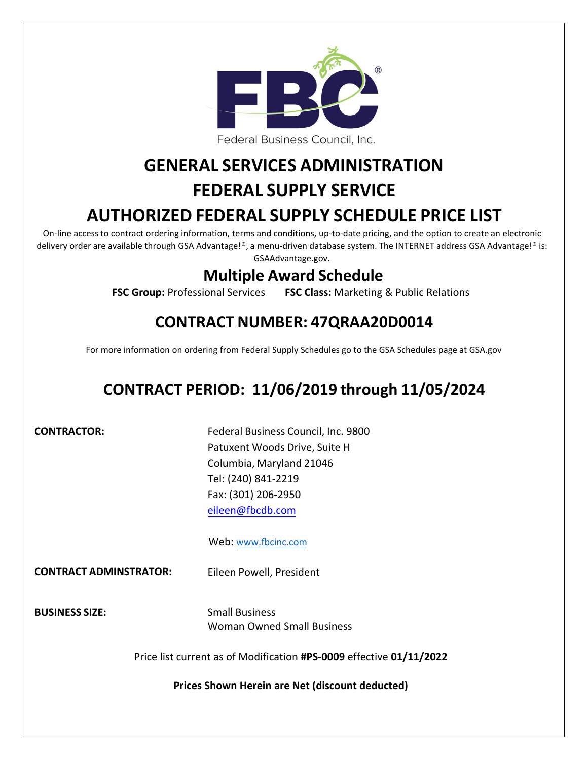

Federal Business Council, Inc.

# **GENERAL SERVICES ADMINISTRATION**

# **FEDERAL SUPPLY SERVICE**

# **AUTHORIZED FEDERAL SUPPLY SCHEDULE PRICE LIST**

On-line access to contract ordering information, terms and conditions, up-to-date pricing, and the option to create an electronic delivery order are available through GSA Advantage!®, a menu‐driven database system. The INTERNET address GSA Advantage!® is: GSAAdvantage.gov.

# **Multiple Award Schedule**

**FSC Group:** Professional Services **FSC Class:** Marketing & Public Relations

# **CONTRACT NUMBER: 47QRAA20D0014**

For more information on ordering from Federal Supply Schedules go to the GSA Schedules page at GSA.gov

# **CONTRACT PERIOD: 11/06/2019 through 11/05/2024**

**CONTRACTOR:**

Federal Business Council, Inc. 9800 Patuxent Woods Drive, Suite H Columbia, Maryland 21046 Tel: (240) 841‐2219 Fax: (301) 206‐2950 [eileen@fbcdb.com](mailto:eileen@fbcdb.com)

# Web: [www.fbcinc.com](http://www.fbcinc.com/)

**CONTRACT ADMINSTRATOR:** Eileen Powell, President

**BUSINESS SIZE:**

Small Business Woman Owned Small Business

Price list current as of Modification **#PS-0009** effective **01/11/2022**

**Prices Shown Herein are Net (discount deducted)**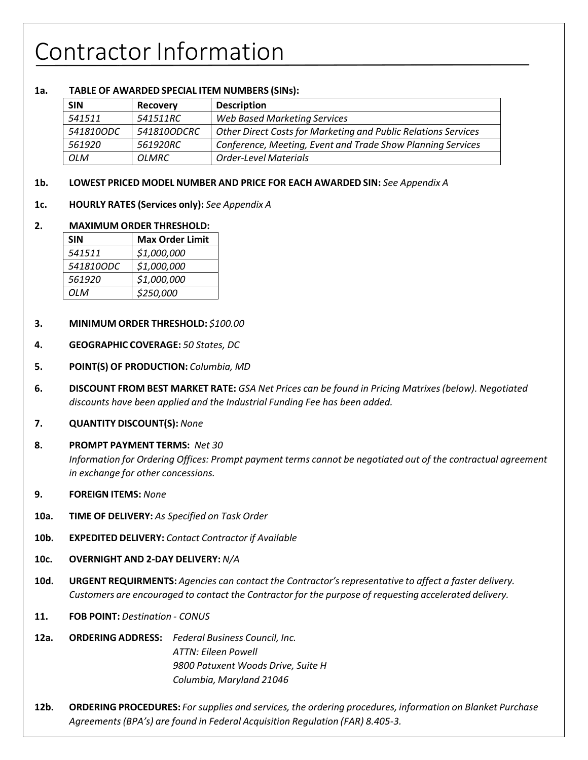# Contractor Information

### **1a. TABLE OF AWARDED SPECIAL ITEM NUMBERS (SINs):**

| <b>SIN</b> | <b>Recovery</b> | <b>Description</b>                                             |
|------------|-----------------|----------------------------------------------------------------|
| 541511     | 541511RC        | <b>Web Based Marketing Services</b>                            |
| 541810ODC  | 541810ODCRC     | Other Direct Costs for Marketing and Public Relations Services |
| 561920     | 561920RC        | Conference, Meeting, Event and Trade Show Planning Services    |
| <b>OLM</b> | <i>OLMRC</i>    | <b>Order-Level Materials</b>                                   |

#### **1b. LOWEST PRICED MODEL NUMBER AND PRICE FOR EACH AWARDED SIN:** *See Appendix A*

**1c. HOURLY RATES (Services only):** *See Appendix A*

#### **2. MAXIMUM ORDER THRESHOLD:**

| <b>SIN</b> | <b>Max Order Limit</b> |
|------------|------------------------|
| 541511     | \$1,000,000            |
| 541810ODC  | \$1,000,000            |
| 561920     | \$1,000,000            |
| N IO       | \$250,000              |

- **3. MINIMUM ORDER THRESHOLD:** *\$100.00*
- **4. GEOGRAPHIC COVERAGE:** *50 States, DC*
- **5. POINT(S) OF PRODUCTION:** *Columbia, MD*
- **6. DISCOUNT FROM BEST MARKET RATE:** *GSA Net Prices can be found in Pricing Matrixes(below). Negotiated discounts have been applied and the Industrial Funding Fee has been added.*
- **7. QUANTITY DISCOUNT(S):** *None*
- **8. PROMPT PAYMENT TERMS:** *Net 30*

*Information for Ordering Offices: Prompt payment terms cannot be negotiated out of the contractual agreement in exchange for other concessions.*

- **9. FOREIGN ITEMS:** *None*
- **10a. TIME OF DELIVERY:** *As Specified on Task Order*
- **10b. EXPEDITED DELIVERY:** *Contact Contractor if Available*
- **10c. OVERNIGHT AND 2‐DAY DELIVERY:** *N/A*
- **10d. URGENT REQUIRMENTS:** *Agencies can contact the Contractor'srepresentative to affect a faster delivery. Customers are encouraged to contact the Contractor for the purpose of requesting accelerated delivery.*
- **11. FOB POINT:** *Destination ‐ CONUS*
- **12a. ORDERING ADDRESS:** *Federal Business Council, Inc. ATTN: Eileen Powell 9800 Patuxent Woods Drive, Suite H Columbia, Maryland 21046*
- **12b. ORDERING PROCEDURES:** *For supplies and services, the ordering procedures, information on Blanket Purchase Agreements(BPA's) are found in Federal Acquisition Regulation (FAR) 8.405‐3.*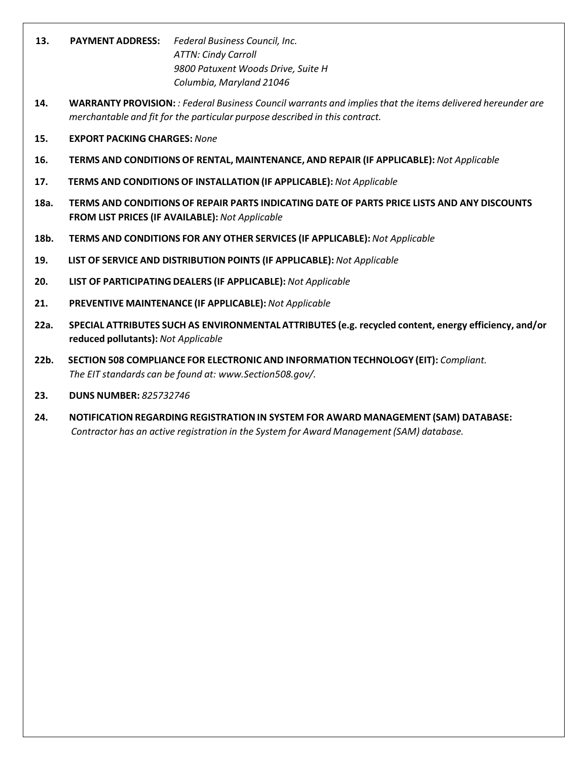- **13. PAYMENT ADDRESS:** *Federal Business Council, Inc. ATTN: Cindy Carroll 9800 Patuxent Woods Drive, Suite H Columbia, Maryland 21046*
- **14. WARRANTY PROVISION:** *: Federal Business Council warrants and impliesthat the items delivered hereunder are merchantable and fit for the particular purpose described in this contract.*
- **15. EXPORT PACKING CHARGES:** *None*
- **16. TERMS AND CONDITIONS OF RENTAL, MAINTENANCE, AND REPAIR (IF APPLICABLE):** *Not Applicable*
- **17. TERMS AND CONDITIONS OF INSTALLATION (IF APPLICABLE):** *Not Applicable*
- **18a. TERMS AND CONDITIONS OF REPAIR PARTS INDICATING DATE OF PARTS PRICE LISTS AND ANY DISCOUNTS FROM LIST PRICES (IF AVAILABLE):** *Not Applicable*
- **18b. TERMS AND CONDITIONS FOR ANY OTHER SERVICES (IF APPLICABLE):** *Not Applicable*
- **19. LIST OF SERVICE AND DISTRIBUTION POINTS (IF APPLICABLE):** *Not Applicable*
- **20. LIST OF PARTICIPATING DEALERS (IF APPLICABLE):** *Not Applicable*
- **21. PREVENTIVE MAINTENANCE (IF APPLICABLE):** *Not Applicable*
- **22a. SPECIAL ATTRIBUTES SUCH AS ENVIRONMENTALATTRIBUTES (e.g. recycled content, energy efficiency, and/or reduced pollutants):** *Not Applicable*
- **22b. SECTION 508 COMPLIANCE FOR ELECTRONIC AND INFORMATION TECHNOLOGY (EIT):** *Compliant. The EIT standards can be found at: [www.Section508.gov/.](http://www.section508.gov/)*
- **23. DUNS NUMBER:** *825732746*
- **24. NOTIFICATION REGARDING REGISTRATIONIN SYSTEM FOR AWARD MANAGEMENT (SAM) DATABASE:** *Contractor has an active registration in the System for Award Management(SAM) database.*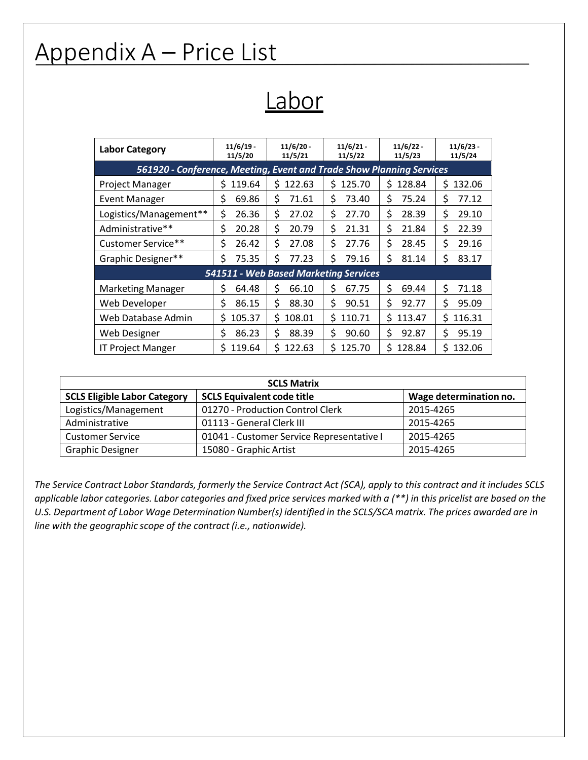# Appendix A – Price List

Labor

| <b>Labor Category</b>                                                | 11/6/19     | $11/6/20 -$   | 11/6/21     | $11/6/22 -$ | 11/6/23      |  |  |  |
|----------------------------------------------------------------------|-------------|---------------|-------------|-------------|--------------|--|--|--|
|                                                                      | 11/5/20     | 11/5/21       | 11/5/22     | 11/5/23     | 11/5/24      |  |  |  |
| 561920 - Conference, Meeting, Event and Trade Show Planning Services |             |               |             |             |              |  |  |  |
| <b>Project Manager</b>                                               | 119.64<br>S | 122.63<br>\$. | 125.70<br>Ś | \$128.84    | \$<br>132.06 |  |  |  |
| <b>Event Manager</b>                                                 | \$          | \$            | \$          | 75.24       | \$           |  |  |  |
|                                                                      | 69.86       | 71.61         | 73.40       | \$          | 77.12        |  |  |  |
| Logistics/Management**                                               | \$          | \$            | Ś           | Ś           | \$           |  |  |  |
|                                                                      | 26.36       | 27.02         | 27.70       | 28.39       | 29.10        |  |  |  |
| Administrative**                                                     | \$          | \$            | \$          | \$          | \$           |  |  |  |
|                                                                      | 20.28       | 20.79         | 21.31       | 21.84       | 22.39        |  |  |  |
| Customer Service**                                                   | \$          | \$            | \$          | \$          | \$           |  |  |  |
|                                                                      | 26.42       | 27.08         | 27.76       | 28.45       | 29.16        |  |  |  |
| Graphic Designer**                                                   | \$          | \$            | Ś           | \$          | \$           |  |  |  |
|                                                                      | 75.35       | 77.23         | 79.16       | 81.14       | 83.17        |  |  |  |
| 541511 - Web Based Marketing Services                                |             |               |             |             |              |  |  |  |
| <b>Marketing Manager</b>                                             | \$          | \$            | \$          | Ś           | \$           |  |  |  |
|                                                                      | 64.48       | 66.10         | 67.75       | 69.44       | 71.18        |  |  |  |
| Web Developer                                                        | \$          | \$            | Ś.          | \$          | \$           |  |  |  |
|                                                                      | 86.15       | 88.30         | 90.51       | 92.77       | 95.09        |  |  |  |
| Web Database Admin                                                   | Ś           | \$            | Ś.          | Ś.          | \$           |  |  |  |
|                                                                      | 105.37      | 108.01        | 110.71      | 113.47      | 116.31       |  |  |  |
| Web Designer                                                         | \$          | \$            | \$          | \$          | \$           |  |  |  |
|                                                                      | 86.23       | 88.39         | 90.60       | 92.87       | 95.19        |  |  |  |
| <b>IT Project Manger</b>                                             | \$          | \$            | \$          | \$          | \$           |  |  |  |
|                                                                      | 119.64      | 122.63        | 125.70      | 128.84      | 132.06       |  |  |  |

| <b>SCLS Matrix</b>                  |                                           |                        |  |  |  |
|-------------------------------------|-------------------------------------------|------------------------|--|--|--|
| <b>SCLS Eligible Labor Category</b> | <b>SCLS Equivalent code title</b>         | Wage determination no. |  |  |  |
| Logistics/Management                | 01270 - Production Control Clerk          | 2015-4265              |  |  |  |
| Administrative                      | 01113 - General Clerk III                 | 2015-4265              |  |  |  |
| <b>Customer Service</b>             | 01041 - Customer Service Representative I | 2015-4265              |  |  |  |
| <b>Graphic Designer</b>             | 15080 - Graphic Artist                    | 2015-4265              |  |  |  |

The Service Contract Labor Standards, formerly the Service Contract Act (SCA), apply to this contract and it includes SCLS applicable labor categories. Labor categories and fixed price services marked with a (\*\*) in this pricelist are based on the U.S. Department of Labor Wage Determination Number(s) identified in the SCLS/SCA matrix. The prices awarded are in *line with the geographic scope of the contract (i.e., nationwide).*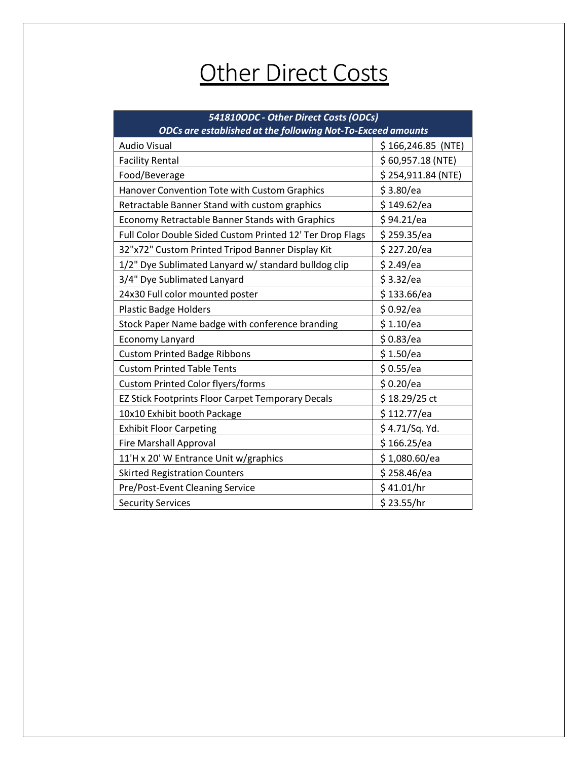# **Other Direct Costs**

| 541810ODC - Other Direct Costs (ODCs)<br>ODCs are established at the following Not-To-Exceed amounts |                     |  |  |
|------------------------------------------------------------------------------------------------------|---------------------|--|--|
| <b>Audio Visual</b>                                                                                  | $$166,246.85$ (NTE) |  |  |
| <b>Facility Rental</b>                                                                               | \$60,957.18(NTE)    |  |  |
| Food/Beverage                                                                                        | \$254,911.84 (NTE)  |  |  |
| Hanover Convention Tote with Custom Graphics                                                         | \$3.80/ea           |  |  |
| Retractable Banner Stand with custom graphics                                                        | \$149.62/ea         |  |  |
| Economy Retractable Banner Stands with Graphics                                                      | \$94.21/ea          |  |  |
| Full Color Double Sided Custom Printed 12' Ter Drop Flags                                            | \$259.35/ea         |  |  |
| 32"x72" Custom Printed Tripod Banner Display Kit                                                     | \$227.20/ea         |  |  |
| 1/2" Dye Sublimated Lanyard w/ standard bulldog clip                                                 | \$2.49/ea           |  |  |
| 3/4" Dye Sublimated Lanyard                                                                          | \$3.32/ea           |  |  |
| 24x30 Full color mounted poster                                                                      | \$133.66/ea         |  |  |
| <b>Plastic Badge Holders</b>                                                                         | \$0.92/ea           |  |  |
| Stock Paper Name badge with conference branding                                                      | \$1.10/ea           |  |  |
| <b>Economy Lanyard</b>                                                                               | \$0.83/ea           |  |  |
| <b>Custom Printed Badge Ribbons</b>                                                                  | \$1.50/ea           |  |  |
| <b>Custom Printed Table Tents</b>                                                                    | \$0.55/ea           |  |  |
| <b>Custom Printed Color flyers/forms</b>                                                             | \$0.20/ea           |  |  |
| EZ Stick Footprints Floor Carpet Temporary Decals                                                    | \$18.29/25 ct       |  |  |
| 10x10 Exhibit booth Package                                                                          | \$112.77/ea         |  |  |
| <b>Exhibit Floor Carpeting</b>                                                                       | \$4.71/Sq. Yd.      |  |  |
| <b>Fire Marshall Approval</b>                                                                        | \$166.25/ea         |  |  |
| 11'H x 20' W Entrance Unit w/graphics                                                                | \$1,080.60/ea       |  |  |
| <b>Skirted Registration Counters</b>                                                                 | \$258.46/ea         |  |  |
| Pre/Post-Event Cleaning Service                                                                      | \$41.01/hr          |  |  |
| <b>Security Services</b>                                                                             | \$23.55/hr          |  |  |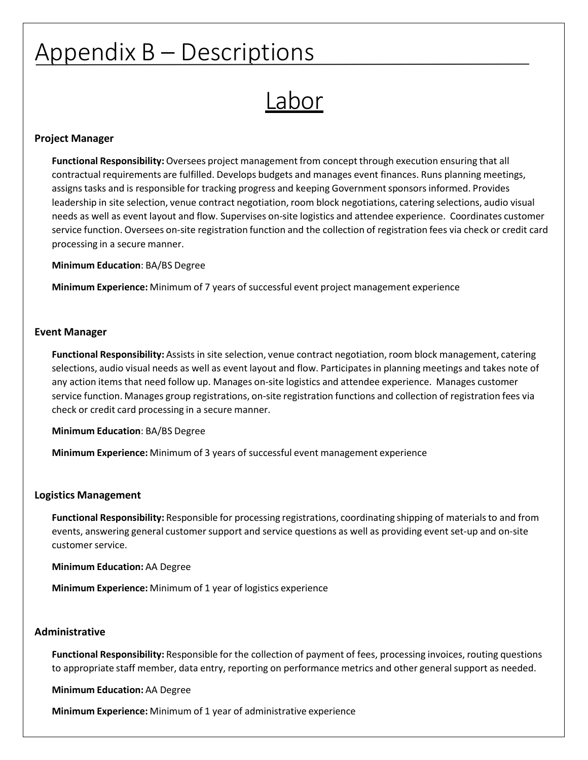# Appendix B – Descriptions

Labor

### **Project Manager**

**Functional Responsibility:**Oversees project management from concept through execution ensuring that all contractual requirements are fulfilled. Develops budgets and manages event finances. Runs planning meetings, assigns tasks and is responsible for tracking progress and keeping Government sponsors informed. Provides leadership in site selection, venue contract negotiation, room block negotiations, catering selections, audio visual needs as well as event layout and flow. Supervises on‐site logistics and attendee experience. Coordinates customer service function. Oversees on‐site registration function and the collection of registration fees via check or credit card processing in a secure manner.

**Minimum Education**: BA/BS Degree

**Minimum Experience:** Minimum of 7 years of successful event project management experience

#### **Event Manager**

**Functional Responsibility:** Assists in site selection, venue contract negotiation, room block management, catering selections, audio visual needs as well as event layout and flow. Participatesin planning meetings and takes note of any action items that need follow up. Manages on‐site logistics and attendee experience. Manages customer service function. Manages group registrations, on-site registration functions and collection of registration fees via check or credit card processing in a secure manner.

**Minimum Education**: BA/BS Degree

**Minimum Experience:** Minimum of 3 years of successful event management experience

#### **Logistics Management**

Functional Responsibility: Responsible for processing registrations, coordinating shipping of materials to and from events, answering general customer support and service questions as well as providing event set-up and on-site customer service.

**Minimum Education:** AA Degree

**Minimum Experience:** Minimum of 1 year of logistics experience

#### **Administrative**

**Functional Responsibility:** Responsible for the collection of payment of fees, processing invoices, routing questions to appropriate staff member, data entry, reporting on performance metrics and other general support as needed.

**Minimum Education:** AA Degree

**Minimum Experience:** Minimum of 1 year of administrative experience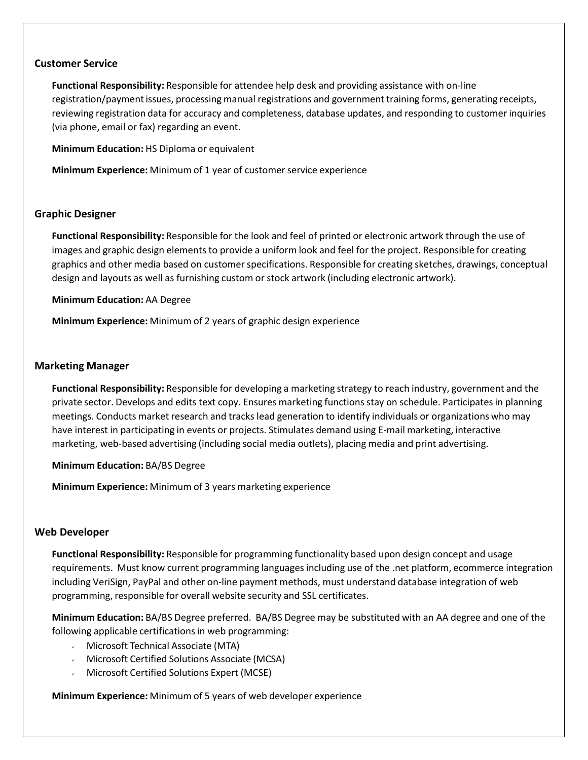#### **Customer Service**

**Functional Responsibility:** Responsible for attendee help desk and providing assistance with on‐line registration/paymentissues, processing manual registrations and government training forms, generating receipts, reviewing registration data for accuracy and completeness, database updates, and responding to customer inquiries (via phone, email or fax) regarding an event.

**Minimum Education:** HS Diploma or equivalent

**Minimum Experience:** Minimum of 1 year of customer service experience

### **Graphic Designer**

**Functional Responsibility:** Responsible for the look and feel of printed or electronic artwork through the use of images and graphic design elements to provide a uniform look and feel for the project. Responsible for creating graphics and other media based on customer specifications. Responsible for creating sketches, drawings, conceptual design and layouts as well as furnishing custom or stock artwork (including electronic artwork).

**Minimum Education:** AA Degree

**Minimum Experience:** Minimum of 2 years of graphic design experience

#### **Marketing Manager**

**Functional Responsibility:** Responsible for developing a marketing strategy to reach industry, government and the private sector. Develops and edits text copy. Ensures marketing functionsstay on schedule. Participatesin planning meetings. Conducts market research and tracks lead generation to identify individuals or organizations who may have interest in participating in events or projects. Stimulates demand using E‐mail marketing, interactive marketing, web-based advertising (including social media outlets), placing media and print advertising.

**Minimum Education:** BA/BS Degree

**Minimum Experience:** Minimum of 3 years marketing experience

#### **Web Developer**

**Functional Responsibility:** Responsible for programming functionality based upon design concept and usage requirements. Must know current programming languagesincluding use of the .net platform, ecommerce integration including VeriSign, PayPal and other on‐line payment methods, must understand database integration of web programming, responsible for overall website security and SSL certificates.

**Minimum Education:** BA/BS Degree preferred. BA/BS Degree may be substituted with an AA degree and one of the following applicable certifications in web programming:

- Microsoft Technical Associate (MTA)
- Microsoft Certified Solutions Associate (MCSA)
- Microsoft Certified Solutions Expert (MCSE)  $\mathbf{v}$

**Minimum Experience:** Minimum of 5 years of web developer experience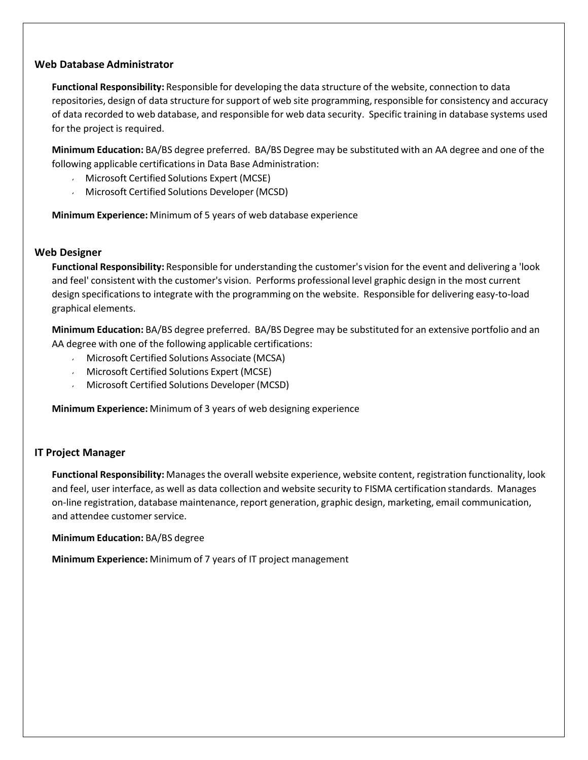#### **Web Database Administrator**

**Functional Responsibility:** Responsible for developing the data structure of the website, connection to data repositories, design of data structure for support of web site programming, responsible for consistency and accuracy of data recorded to web database, and responsible for web data security. Specific training in database systems used for the project is required.

**Minimum Education:** BA/BS degree preferred. BA/BS Degree may be substituted with an AA degree and one of the following applicable certifications in Data Base Administration:

- $\sqrt{2}$ Microsoft Certified Solutions Expert (MCSE)
- Microsoft Certified Solutions Developer (MCSD)

**Minimum Experience:** Minimum of 5 years of web database experience

# **Web Designer**

**Functional Responsibility:** Responsible for understanding the customer's vision for the event and delivering a 'look and feel' consistent with the customer's vision. Performs professional level graphic design in the most current design specificationsto integrate with the programming on the website. Responsible for delivering easy‐to‐load graphical elements.

**Minimum Education:** BA/BS degree preferred. BA/BS Degree may be substituted for an extensive portfolio and an AA degree with one of the following applicable certifications:

- Microsoft Certified Solutions Associate (MCSA)
- Microsoft Certified Solutions Expert (MCSE)
- Microsoft Certified Solutions Developer (MCSD)

**Minimum Experience:** Minimum of 3 years of web designing experience

# **IT Project Manager**

Functional Responsibility: Manages the overall website experience, website content, registration functionality, look and feel, user interface, as well as data collection and website security to FISMA certification standards. Manages on‐line registration, database maintenance, report generation, graphic design, marketing, email communication, and attendee customer service.

**Minimum Education:** BA/BS degree

**Minimum Experience:** Minimum of 7 years of IT project management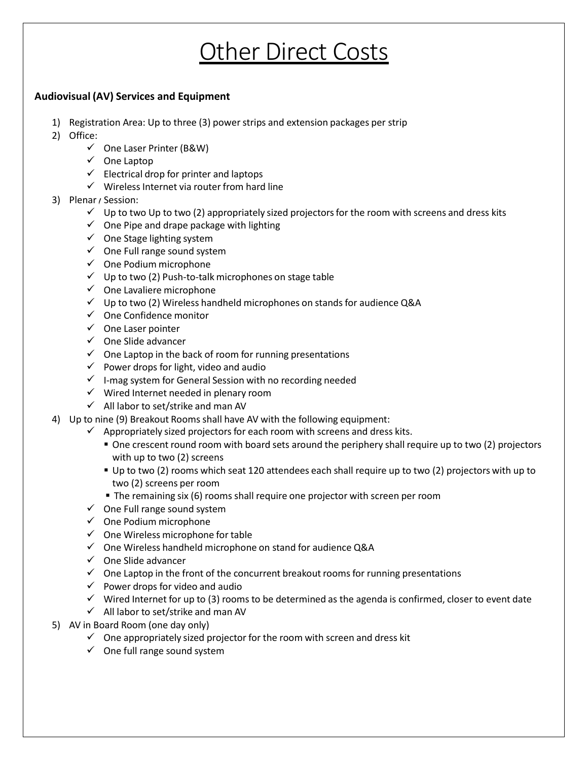# **Other Direct Costs**

# **Audiovisual (AV) Services and Equipment**

- 1) Registration Area: Up to three (3) power strips and extension packages per strip
- 2) Office:
	- ✓ One Laser Printer (B&W)
	- ✓ One Laptop
	- ✓ Electrical drop for printer and laptops
	- ✓ Wireless Internet via router from hard line
- 3) Plenar / Session:
	- $\checkmark$  Up to two Up to two (2) appropriately sized projectors for the room with screens and dress kits
	- $\checkmark$  One Pipe and drape package with lighting
	- ✓ One Stage lighting system
	- $\checkmark$  One Full range sound system
	- $\checkmark$  One Podium microphone
	- $\checkmark$  Up to two (2) Push-to-talk microphones on stage table
	- ✓ One Lavaliere microphone
	- ✓ Up to two (2) Wireless handheld microphones on stands for audience Q&A
	- ✓ One Confidence monitor
	- ✓ One Laser pointer
	- ✓ One Slide advancer
	- ✓ One Laptop in the back of room for running presentations
	- ✓ Power drops for light, video and audio
	- ✓ I‐mag system for General Session with no recording needed
	- $\checkmark$  Wired Internet needed in plenary room
	- $\checkmark$  All labor to set/strike and man AV
- 4) Up to nine (9) Breakout Rooms shall have AV with the following equipment:
	- $\checkmark$  Appropriately sized projectors for each room with screens and dress kits.
		- One crescent round room with board sets around the periphery shall require up to two (2) projectors with up to two (2) screens
		- Up to two (2) rooms which seat 120 attendees each shall require up to two (2) projectors with up to two (2) screens per room
		- The remaining six (6) rooms shall require one projector with screen per room
	- $\checkmark$  One Full range sound system
	- $\checkmark$  One Podium microphone
	- $\checkmark$  One Wireless microphone for table
	- $\checkmark$  One Wireless handheld microphone on stand for audience Q&A
	- $\checkmark$  One Slide advancer
	- $\checkmark$  One Laptop in the front of the concurrent breakout rooms for running presentations
	- $\checkmark$  Power drops for video and audio
	- $\checkmark$  Wired Internet for up to (3) rooms to be determined as the agenda is confirmed, closer to event date
	- $\checkmark$  All labor to set/strike and man AV
- 5) AV in Board Room (one day only)
	- $\checkmark$  One appropriately sized projector for the room with screen and dress kit
	- $\checkmark$  One full range sound system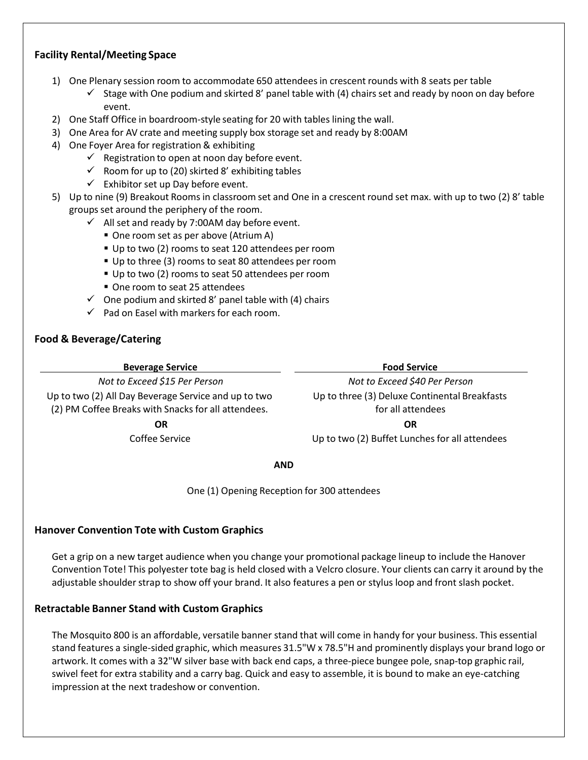# **Facility Rental/Meeting Space**

- 1) One Plenary session room to accommodate 650 attendeesin crescent rounds with 8 seats per table
	- $\checkmark$  Stage with One podium and skirted 8' panel table with (4) chairs set and ready by noon on day before event.
- 2) One Staff Office in boardroom‐style seating for 20 with tables lining the wall.
- 3) One Area for AV crate and meeting supply box storage set and ready by 8:00AM
- 4) One Foyer Area for registration & exhibiting
	- $\checkmark$  Registration to open at noon day before event.
	- $\checkmark$  Room for up to (20) skirted 8' exhibiting tables
	- $\checkmark$  Exhibitor set up Day before event.
- 5) Up to nine (9) Breakout Rooms in classroom set and One in a crescent round set max. with up to two (2) 8' table groups set around the periphery of the room.
	- $\checkmark$  All set and ready by 7:00AM day before event.
		- One room set as per above (Atrium A)
		- Up to two (2) rooms to seat 120 attendees per room
		- Up to three (3) rooms to seat 80 attendees per room
		- Up to two (2) rooms to seat 50 attendees per room
		- One room to seat 25 attendees
	- $\checkmark$  One podium and skirted 8' panel table with (4) chairs
	- $\checkmark$  Pad on Easel with markers for each room.

# **Food & Beverage/Catering**

**Beverage Service Food Service**

Up to two (2) All Day Beverage Service and up to two (2) PM Coffee Breaks with Snacks for all attendees.

*Not to Exceed \$15 Per Person Not to Exceed \$40 Per Person* Up to three (3) Deluxe Continental Breakfasts for all attendees

**OR OR**

Coffee Service Up to two (2) Buffet Lunches for all attendees

**AND**

One (1) Opening Reception for 300 attendees

# **Hanover Convention Tote with Custom Graphics**

Get a grip on a new target audience when you change your promotional package lineup to include the Hanover Convention Tote! This polyester tote bag is held closed with a Velcro closure. Your clients can carry it around by the adjustable shoulder strap to show off your brand. It also features a pen or stylus loop and front slash pocket.

# **Retractable Banner Stand with Custom Graphics**

The Mosquito 800 is an affordable, versatile banner stand that will come in handy for your business. This essential stand features a single‐sided graphic, which measures 31.5"W x 78.5"H and prominently displays your brand logo or artwork. It comes with a 32"W silver base with back end caps, a three‐piece bungee pole, snap‐top graphic rail, swivel feet for extra stability and a carry bag. Quick and easy to assemble, it is bound to make an eye‐catching impression at the next tradeshow or convention.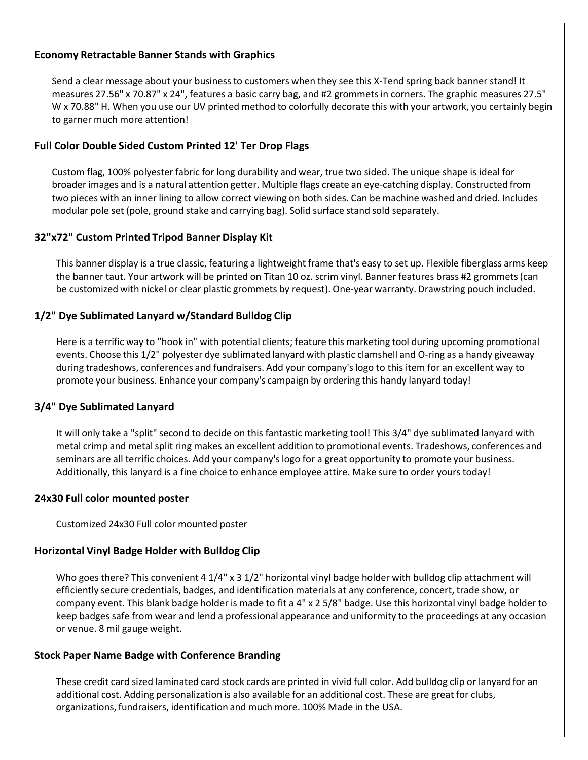# **Economy Retractable Banner Stands with Graphics**

Send a clear message about your business to customers when they see this X‐Tend spring back banner stand! It measures 27.56" x 70.87" x 24", features a basic carry bag, and #2 grommetsin corners. The graphic measures 27.5" W x 70.88" H. When you use our UV printed method to colorfully decorate this with your artwork, you certainly begin to garner much more attention!

# **Full Color Double Sided Custom Printed 12' Ter Drop Flags**

Custom flag, 100% polyester fabric for long durability and wear, true two sided. The unique shape is ideal for broader images and is a natural attention getter. Multiple flags create an eye‐catching display. Constructed from two pieces with an inner lining to allow correct viewing on both sides. Can be machine washed and dried. Includes modular pole set (pole, ground stake and carrying bag). Solid surface stand sold separately.

# **32"x72" Custom Printed Tripod Banner Display Kit**

This banner display is a true classic, featuring a lightweight frame that's easy to set up. Flexible fiberglass arms keep the banner taut. Your artwork will be printed on Titan 10 oz. scrim vinyl. Banner features brass #2 grommets(can be customized with nickel or clear plastic grommets by request). One‐year warranty. Drawstring pouch included.

# **1/2" Dye Sublimated Lanyard w/Standard Bulldog Clip**

Here is a terrific way to "hook in" with potential clients; feature this marketing tool during upcoming promotional events. Choose this 1/2" polyester dye sublimated lanyard with plastic clamshell and O‐ring as a handy giveaway during tradeshows, conferences and fundraisers. Add your company'slogo to this item for an excellent way to promote your business. Enhance your company's campaign by ordering this handy lanyard today!

# **3/4" Dye Sublimated Lanyard**

It will only take a "split" second to decide on this fantastic marketing tool! This 3/4" dye sublimated lanyard with metal crimp and metal split ring makes an excellent addition to promotional events. Tradeshows, conferences and seminars are all terrific choices. Add your company'slogo for a great opportunity to promote your business. Additionally, this lanyard is a fine choice to enhance employee attire. Make sure to order yours today!

# **24x30 Full color mounted poster**

Customized 24x30 Full color mounted poster

# **Horizontal Vinyl Badge Holder with Bulldog Clip**

Who goes there? This convenient 4 1/4" x 3 1/2" horizontal vinyl badge holder with bulldog clip attachment will efficiently secure credentials, badges, and identification materials at any conference, concert, trade show, or company event. This blank badge holder is made to fit a 4" x 2 5/8" badge. Use this horizontal vinyl badge holder to keep badges safe from wear and lend a professional appearance and uniformity to the proceedings at any occasion or venue. 8 mil gauge weight.

# **Stock Paper Name Badge with Conference Branding**

These credit card sized laminated card stock cards are printed in vivid full color. Add bulldog clip or lanyard for an additional cost. Adding personalization is also available for an additional cost. These are great for clubs, organizations, fundraisers, identification and much more. 100% Made in the USA.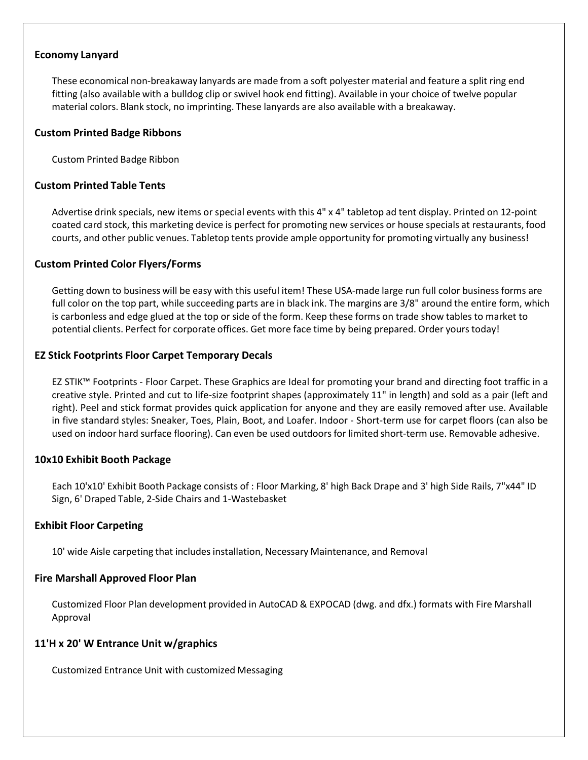### **Economy Lanyard**

These economical non‐breakaway lanyards are made from a soft polyester material and feature a split ring end fitting (also available with a bulldog clip or swivel hook end fitting). Available in your choice of twelve popular material colors. Blank stock, no imprinting. These lanyards are also available with a breakaway.

#### **Custom Printed Badge Ribbons**

Custom Printed Badge Ribbon

#### **Custom Printed Table Tents**

Advertise drink specials, new items or special events with this 4" x 4" tabletop ad tent display. Printed on 12‐point coated card stock, this marketing device is perfect for promoting new services or house specials at restaurants, food courts, and other public venues. Tabletop tents provide ample opportunity for promoting virtually any business!

#### **Custom Printed Color Flyers/Forms**

Getting down to business will be easy with this useful item! These USA-made large run full color business forms are full color on the top part, while succeeding parts are in black ink. The margins are 3/8" around the entire form, which is carbonless and edge glued at the top or side of the form. Keep these forms on trade show tables to market to potential clients. Perfect for corporate offices. Get more face time by being prepared. Order yourstoday!

#### **EZ Stick Footprints Floor Carpet Temporary Decals**

EZ STIK™ Footprints ‐ Floor Carpet. These Graphics are Ideal for promoting your brand and directing foot traffic in a creative style. Printed and cut to life‐size footprint shapes (approximately 11" in length) and sold as a pair (left and right). Peel and stick format provides quick application for anyone and they are easily removed after use. Available in five standard styles: Sneaker, Toes, Plain, Boot, and Loafer. Indoor ‐ Short‐term use for carpet floors (can also be used on indoor hard surface flooring). Can even be used outdoors for limited short-term use. Removable adhesive.

#### **10x10 Exhibit Booth Package**

Each 10'x10' Exhibit Booth Package consists of : Floor Marking, 8' high Back Drape and 3' high Side Rails, 7"x44" ID Sign, 6' Draped Table, 2‐Side Chairs and 1‐Wastebasket

#### **Exhibit Floor Carpeting**

10' wide Aisle carpeting that includes installation, Necessary Maintenance, and Removal

#### **Fire Marshall Approved Floor Plan**

Customized Floor Plan development provided in AutoCAD & EXPOCAD (dwg. and dfx.) formats with Fire Marshall Approval

# **11'H x 20' W Entrance Unit w/graphics**

Customized Entrance Unit with customized Messaging